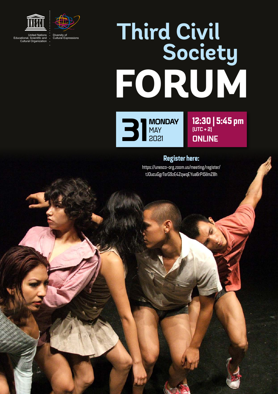



**FORUM Third Civil Society**

**31 MONDAY**<br>2021 MAY 2021

12:30 | 5:45 pm (UTC + 2) **ONLINE** 

#### Register here:

[https://unesco-org.zoom.us/meeting/register/](https://unesco-org.zoom.us/meeting/register/tJ0ucuGgrTsrG9zE4ZqwqEYua6rPi5lImZ8h) [tJ0ucuGgrTsrG9zE4ZqwqEYua6rPi5lImZ8h](https://unesco-org.zoom.us/meeting/register/tJ0ucuGgrTsrG9zE4ZqwqEYua6rPi5lImZ8h)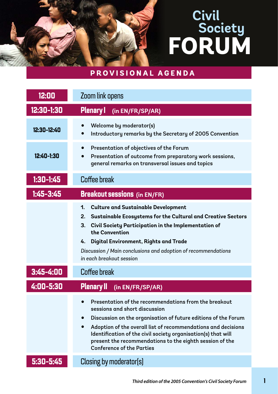### **PROVISIONAL AGENDA**

| 12:00         | Zoom link opens                                                                                                                                                                                                                                                                                                                                                                                                      |
|---------------|----------------------------------------------------------------------------------------------------------------------------------------------------------------------------------------------------------------------------------------------------------------------------------------------------------------------------------------------------------------------------------------------------------------------|
| 12:30-1:30    | <b>Plenary I</b><br>(in EN/FR/SP/AR)                                                                                                                                                                                                                                                                                                                                                                                 |
| 12:30-12:40   | <b>Welcome by moderator(s)</b><br>Introductory remarks by the Secretary of 2005 Convention                                                                                                                                                                                                                                                                                                                           |
| 12:40-1:30    | Presentation of objectives of the Forum<br>$\bullet$<br>Presentation of outcome from preparatory work sessions,<br>general remarks on transversal issues and topics                                                                                                                                                                                                                                                  |
| $1:30-1:45$   | Coffee break                                                                                                                                                                                                                                                                                                                                                                                                         |
| $1:45 - 3:45$ | <b>Breakout sessions</b> (in EN/FR)                                                                                                                                                                                                                                                                                                                                                                                  |
|               | <b>Culture and Sustainable Development</b><br>1.<br>2.<br>Sustainable Ecosystems for the Cultural and Creative Sectors<br>Civil Society Participation in the Implementation of<br>3.<br>the Convention<br>Digital Environment, Rights and Trade<br>4.<br>Discussion / Main conclusions and adoption of recommendations<br>in each breakout session                                                                   |
| $3:45 - 4:00$ | Coffee break                                                                                                                                                                                                                                                                                                                                                                                                         |
| 4:00-5:30     | <b>Plenary II</b><br>(in EN/FR/SP/AR)                                                                                                                                                                                                                                                                                                                                                                                |
|               | Presentation of the recommendations from the breakout<br>sessions and short discussion<br>Discussion on the organisation of future editions of the Forum<br>$\bullet$<br>Adoption of the overall list of recommendations and decisions<br>$\bullet$<br>Identification of the civil society organisation(s) that will<br>present the recommendations to the eighth session of the<br><b>Conference of the Parties</b> |
| 5:30-5:45     | Closing by moderator(s)                                                                                                                                                                                                                                                                                                                                                                                              |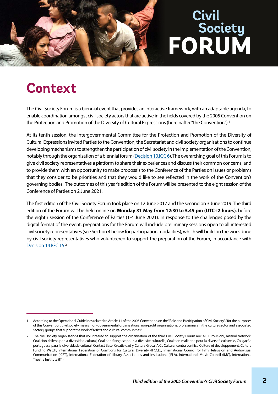

## **Context**

The Civil Society Forum is a biennial event that provides an interactive framework, with an adaptable agenda, to enable coordination amongst civil society actors that are active in the fields covered by the 2005 Convention on the Protection and Promotion of the Diversity of Cultural Expressions (hereinafter "the Convention").<sup>1</sup>

At its tenth session, the Intergovernmental Committee for the Protection and Promotion of the Diversity of Cultural Expressions invited Parties to the Convention, the Secretariat and civil society organisations to continue developing mechanisms to strengthen the participation of civil society in the implementation of the Convention, notably through the organisation of a biennial forum [\(Decision 10.IGC 6](https://en.unesco.org/creativity/sites/creativity/files/sessions/10igc_decisions_en.pdf)). The overarching goal of this Forum is to give civil society representatives a platform to share their experiences and discuss their common concerns, and to provide them with an opportunity to make proposals to the Conference of the Parties on issues or problems that they consider to be priorities and that they would like to see reflected in the work of the Convention's governing bodies. The outcomes of this year's edition of the Forum will be presented to the eight session of the Conference of Parties on 2 June 2021.

The first edition of the Civil Society Forum took place on 12 June 2017 and the second on 3 June 2019. The third edition of the Forum will be held online on **Monday 31 May from 12:30 to 5.45 pm (UTC+2 hours)**, before the eighth session of the Conference of Parties (1-4 June 2021). In response to the challenges posed by the digital format of the event, preparations for the Forum will include preliminary sessions open to all interested civil society representatives (see Section 4 below for participation modalities), which will build on the work done by civil society representatives who volunteered to support the preparation of the Forum, in accordance with [Decision 14.IGC 15.](https://en.unesco.org/creativity/sites/creativity/files/sessions/14igc_decisions_en.pdf)2

<sup>1</sup> According to the Operational Guidelines related to Article 11 of the 2005 Convention on the "Role and Participation of Civil Society", "for the purposes of this Convention, civil society means non-governmental organisations, non-profit organisations, professionals in the culture sector and associated sectors, groups that support the work of artists and cultural communities."

<sup>2</sup> The civil society organisations that volunteered to support the organisation of the third Civil Society Forum are: AC Eurovisioni, Arterial Network, Coalición chilena por la diversidad cultural, Coalition française pour la diversité culturelle, Coalition malienne pour la diversité culturelle, Coligação portuguesa para la diversidade cultural; Contact Base, Creatividad y Cultura Glocal A.C., Cultural contra conflict, Culture et développement, Culture Funding Watch, International Federation of Coalitions for Cultural Diversity (IFCCD), International Council for Film, Television and Audiovisual Communication (ICFT), International Federation of Library Associations and Institutions (IFLA), International Music Council (IMC), International Theatre Institute (ITI).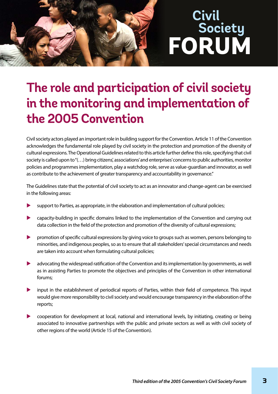## **The role and participation of civil society in the monitoring and implementation of the 2005 Convention**

Civil society actors played an important role in building support for the Convention. Article 11 of the Convention acknowledges the fundamental role played by civil society in the protection and promotion of the diversity of cultural expressions. The Operational Guidelines related to this article further define this role, specifying that civil society is called upon to "(…) bring citizens', associations' and enterprises' concerns to public authorities, monitor policies and programmes implementation, play a watchdog role, serve as value-guardian and innovator, as well as contribute to the achievement of greater transparency and accountability in governance."

The Guidelines state that the potential of civil society to act as an innovator and change-agent can be exercised in the following areas:

- support to Parties, as appropriate, in the elaboration and implementation of cultural policies;
- capacity-building in specific domains linked to the implementation of the Convention and carrying out data collection in the field of the protection and promotion of the diversity of cultural expressions;
- $\triangleright$  promotion of specific cultural expressions by giving voice to groups such as women, persons belonging to minorities, and indigenous peoples, so as to ensure that all stakeholders' special circumstances and needs are taken into account when formulating cultural policies;
- advocating the widespread ratification of the Convention and its implementation by governments, as well as in assisting Parties to promote the objectives and principles of the Convention in other international forums;
- input in the establishment of periodical reports of Parties, within their field of competence. This input would give more responsibility to civil society and would encourage transparency in the elaboration of the reports;
- u cooperation for development at local, national and international levels, by initiating, creating or being associated to innovative partnerships with the public and private sectors as well as with civil society of other regions of the world (Article 15 of the Convention).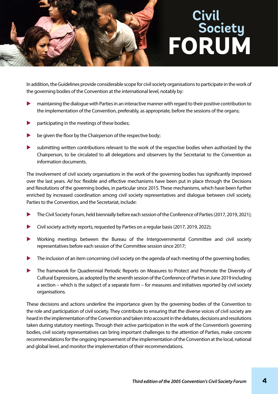

In addition, the Guidelines provide considerable scope for civil society organisations to participate in the work of the governing bodies of the Convention at the international level, notably by:

- u maintaining the dialogue with Parties in an interactive manner with regard to their positive contribution to the implementation of the Convention, preferably, as appropriate, before the sessions of the organs;
- participating in the meetings of these bodies;
- be given the floor by the Chairperson of the respective body;
- is submitting written contributions relevant to the work of the respective bodies when authorized by the Chairperson, to be circulated to all delegations and observers by the Secretariat to the Convention as information documents.

The involvement of civil society organisations in the work of the governing bodies has significantly improved over the last years. *Ad hoc* flexible and effective mechanisms have been put in place through the Decisions and Resolutions of the governing bodies, in particular since 2015. These mechanisms, which have been further enriched by increased coordination among civil society representatives and dialogue between civil society, Parties to the Convention, and the Secretariat, include:

- The Civil Society Forum, held biennially before each session of the Conference of Parties (2017, 2019, 2021);
- Civil society activity reports, requested by Parties on a regular basis (2017, 2019, 2022);
- **•** Working meetings between the Bureau of the Intergovernmental Committee and civil society representatives before each session of the Committee session since 2017;
- The inclusion of an item concerning civil society on the agenda of each meeting of the governing bodies;
- The framework for Quadrennial Periodic Reports on Measures to Protect and Promote the Diversity of Cultural Expressions, as adopted by the seventh session of the Conference of Parties in June 2019 including a section – which is the subject of a separate form – for measures and initiatives reported by civil society organisations.

These decisions and actions underline the importance given by the governing bodies of the Convention to the role and participation of civil society. They contribute to ensuring that the diverse voices of civil society are heard in the implementation of the Convention and taken into account in the debates, decisions and resolutions taken during statutory meetings. Through their active participation in the work of the Convention's governing bodies, civil society representatives can bring important challenges to the attention of Parties, make concrete recommendations for the ongoing improvement of the implementation of the Convention at the local, national and global level, and monitor the implementation of their recommendations.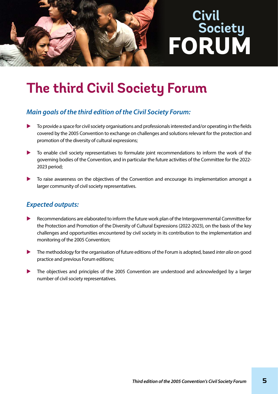

## **The third Civil Society Forum**

#### *Main goals of the third edition of the Civil Society Forum:*

- To provide a space for civil society organisations and professionals interested and/or operating in the fields covered by the 2005 Convention to exchange on challenges and solutions relevant for the protection and promotion of the diversity of cultural expressions;
- To enable civil society representatives to formulate joint recommendations to inform the work of the governing bodies of the Convention, and in particular the future activities of the Committee for the 2022- 2023 period;
- $\blacktriangleright$  To raise awareness on the objectives of the Convention and encourage its implementation amongst a larger community of civil society representatives.

#### *Expected outputs:*

- Recommendations are elaborated to inform the future work plan of the Intergovernmental Committee for the Protection and Promotion of the Diversity of Cultural Expressions (2022-2023), on the basis of the key challenges and opportunities encountered by civil society in its contribution to the implementation and monitoring of the 2005 Convention;
- u The methodology for the organisation of future editions of the Forum is adopted, based *inter alia* on good practice and previous Forum editions;
- The objectives and principles of the 2005 Convention are understood and acknowledged by a larger number of civil society representatives.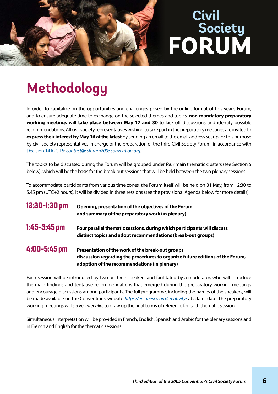

## **Methodology**

In order to capitalize on the opportunities and challenges posed by the online format of this year's Forum, and to ensure adequate time to exchange on the selected themes and topics, **non-mandatory preparatory working meetings will take place between May 17 and 30** to kick-off discussions and identify possible recommendations. All civil society representatives wishing to take part in the preparatory meetings are invited to **express their interest by May 16 at the latest** by sending an email to the email address set up for this purpose by civil society representatives in charge of the preparation of the third Civil Society Forum, in accordance with [Decision 14.IGC 15:](https://en.unesco.org/creativity/sites/creativity/files/sessions/14igc_decisions_en.pdf) *[contact@csforum2005convention.org](mailto:contact@csforum2005convention.org)*.

The topics to be discussed during the Forum will be grouped under four main thematic clusters (see Section 5 below), which will be the basis for the break-out sessions that will be held between the two plenary sessions.

To accommodate participants from various time zones, the Forum itself will be held on 31 May, from 12:30 to 5.45 pm (UTC+2 hours). It will be divided in three sessions (see the provisional Agenda below for more details):

| 12:30-1:30 pm | Opening, presentation of the objectives of the Forum<br>and summary of the preparatory work (in plenary)                                                                           |
|---------------|------------------------------------------------------------------------------------------------------------------------------------------------------------------------------------|
| 1:45-3:45 pm  | Four parallel thematic sessions, during which participants will discuss<br>distinct topics and adopt recommendations (break-out groups)                                            |
| 4:00-5:45 pm  | Presentation of the work of the break-out groups,<br>discussion regarding the procedures to organize future editions of the Forum,<br>adoption of the recommendations (in plenary) |

Each session will be introduced by two or three speakers and facilitated by a moderator, who will introduce the main findings and tentative recommendations that emerged during the preparatory working meetings and encourage discussions among participants. The full programme, including the names of the speakers, will be made available on the Convention's website *<https://en.unesco.org/creativity/>* at a later date. The preparatory working meetings will serve, *inter alia*, to draw up the final terms of reference for each thematic session.

Simultaneous interpretation will be provided in French, English, Spanish and Arabic for the plenary sessions and in French and English for the thematic sessions.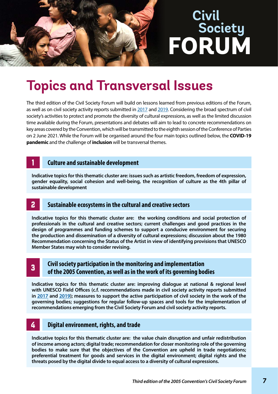## **Topics and Transversal Issues**

The third edition of the Civil Society Forum will build on lessons learned from previous editions of the Forum, as well as on civil society activity reports submitted in [2017](https://en.unesco.org/creativity/sites/creativity/files/sessions/11igc_6_civil_society_reports_en.pdf) and [2019.](https://en.unesco.org/creativity/sites/creativity/files/7.cp_.inf_11_en.pdf) Considering the broad spectrum of civil society's activities to protect and promote the diversity of cultural expressions, as well as the limited discussion time available during the Forum, presentations and debates will aim to lead to concrete recommendations on key areas covered by the Convention, which will be transmitted to the eighth session of the Conference of Parties on 2 June 2021. While the Forum will be organised around the four main topics outlined below, the **COVID-19 pandemic** and the challenge of **inclusion** will be transversal themes.

#### 1 **Culture and sustainable development**

**Indicative topics for this thematic cluster are: issues such as artistic freedom, freedom of expression, gender equality, social cohesion and well-being, the recognition of culture as the 4th pillar of sustainable development**

#### 2 **Sustainable ecosystems in the cultural and creative sectors**

**Indicative topics for this thematic cluster are: the working conditions and social protection of professionals in the cultural and creative sectors; current challenges and good practices in the design of programmes and funding schemes to support a conducive environment for securing the production and dissemination of a diversity of cultural expressions; discussion about the 1980 Recommendation concerning the Status of the Artist in view of identifying provisions that UNESCO Member States may wish to consider revising.**

#### 3 **Civil society participation in the monitoring and implementation of the 2005 Convention, as well as in the work of its governing bodies**

**Indicative topics for this thematic cluster are: improving dialogue at national & regional level with UNESCO Field Offices (c.f. recommendations made in civil society activity reports submitted in [2017](https://en.unesco.org/creativity/sites/creativity/files/sessions/11igc_6_civil_society_reports_en.pdf) and [2019](https://en.unesco.org/creativity/sites/creativity/files/7.cp_.inf_11_en.pdf)); measures to support the active participation of civil society in the work of the governing bodies; suggestions for regular follow-up spaces and tools for the implementation of recommendations emerging from the Civil Society Forum and civil society activity reports.**

#### 4 **Digital environment, rights, and trade**

**Indicative topics for this thematic cluster are: the value chain disruption and unfair redistribution of income among actors; digital trade; recommendation for closer monitoring role of the governing bodies to make sure that the objectives of the Convention are upheld in trade negotiations; preferential treatment for goods and services in the digital environment; digital rights and the threats posed by the digital divide to equal access to a diversity of cultural expressions.**